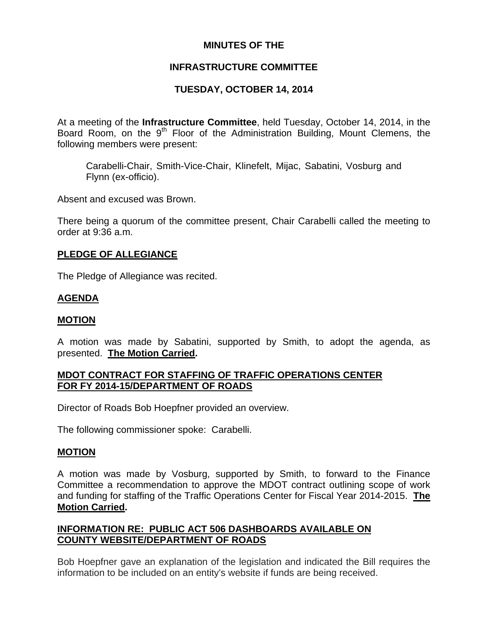# **MINUTES OF THE**

# **INFRASTRUCTURE COMMITTEE**

# **TUESDAY, OCTOBER 14, 2014**

At a meeting of the **Infrastructure Committee**, held Tuesday, October 14, 2014, in the Board Room, on the 9<sup>th</sup> Floor of the Administration Building, Mount Clemens, the following members were present:

Carabelli-Chair, Smith-Vice-Chair, Klinefelt, Mijac, Sabatini, Vosburg and Flynn (ex-officio).

Absent and excused was Brown.

There being a quorum of the committee present, Chair Carabelli called the meeting to order at 9:36 a.m.

#### **PLEDGE OF ALLEGIANCE**

The Pledge of Allegiance was recited.

#### **AGENDA**

#### **MOTION**

A motion was made by Sabatini, supported by Smith, to adopt the agenda, as presented. **The Motion Carried.** 

## **MDOT CONTRACT FOR STAFFING OF TRAFFIC OPERATIONS CENTER FOR FY 2014-15/DEPARTMENT OF ROADS**

Director of Roads Bob Hoepfner provided an overview.

The following commissioner spoke: Carabelli.

#### **MOTION**

A motion was made by Vosburg, supported by Smith, to forward to the Finance Committee a recommendation to approve the MDOT contract outlining scope of work and funding for staffing of the Traffic Operations Center for Fiscal Year 2014-2015. **The Motion Carried.** 

## **INFORMATION RE: PUBLIC ACT 506 DASHBOARDS AVAILABLE ON COUNTY WEBSITE/DEPARTMENT OF ROADS**

Bob Hoepfner gave an explanation of the legislation and indicated the Bill requires the information to be included on an entity's website if funds are being received.